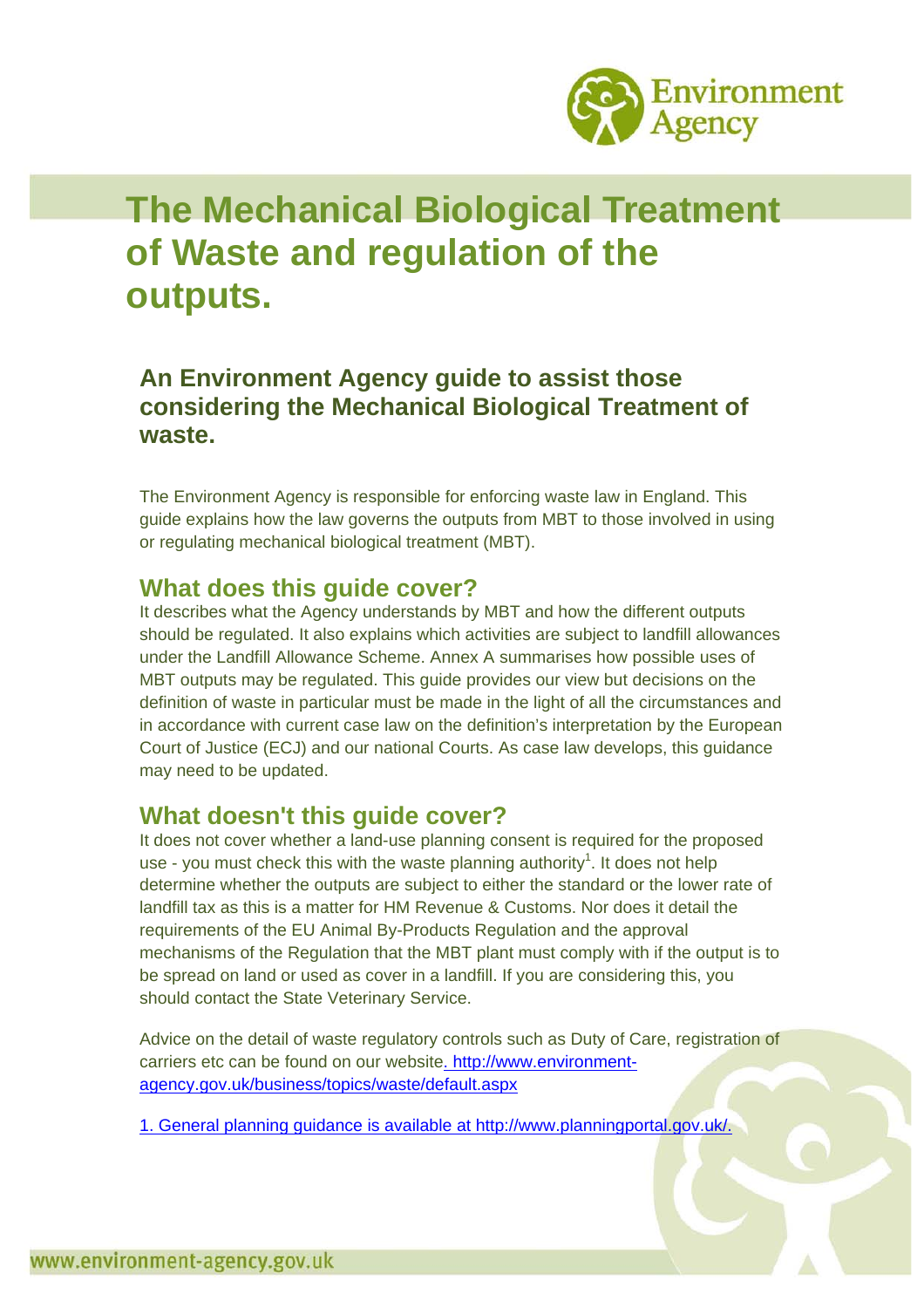

# **The Mechanical Biological Treatment of Waste and regulation of the outputs.**

### **An Environment Agency guide to assist those considering the Mechanical Biological Treatment of waste.**

The Environment Agency is responsible for enforcing waste law in England. This guide explains how the law governs the outputs from MBT to those involved in using or regulating mechanical biological treatment (MBT).

#### **What does this guide cover?**

It describes what the Agency understands by MBT and how the different outputs should be regulated. It also explains which activities are subject to landfill allowances under the Landfill Allowance Scheme. Annex A summarises how possible uses of MBT outputs may be regulated. This guide provides our view but decisions on the definition of waste in particular must be made in the light of all the circumstances and in accordance with current case law on the definition's interpretation by the European Court of Justice (ECJ) and our national Courts. As case law develops, this guidance may need to be updated.

### **What doesn't this guide cover?**

It does not cover whether a land-use planning consent is required for the proposed use - you must check this with the waste planning authority<sup>1</sup>. It does not help determine whether the outputs are subject to either the standard or the lower rate of landfill tax as this is a matter for HM Revenue & Customs. Nor does it detail the requirements of the EU Animal By-Products Regulation and the approval mechanisms of the Regulation that the MBT plant must comply with if the output is to be spread on land or used as cover in a landfill. If you are considering this, you should contact the State Veterinary Service.

Advice on the detail of waste regulatory controls such as Duty of Care, registration of carriers etc can be found on our website. [http://www.environment](http://www.environment-agency.gov.uk/business/topics/waste/default.aspx)[agency.gov.uk/business/topics/waste/default.aspx](http://www.environment-agency.gov.uk/business/topics/waste/default.aspx)

1. General planning guidance is available at [http://www.planningportal.gov.uk/.](http://www.planningportal.gov.uk/)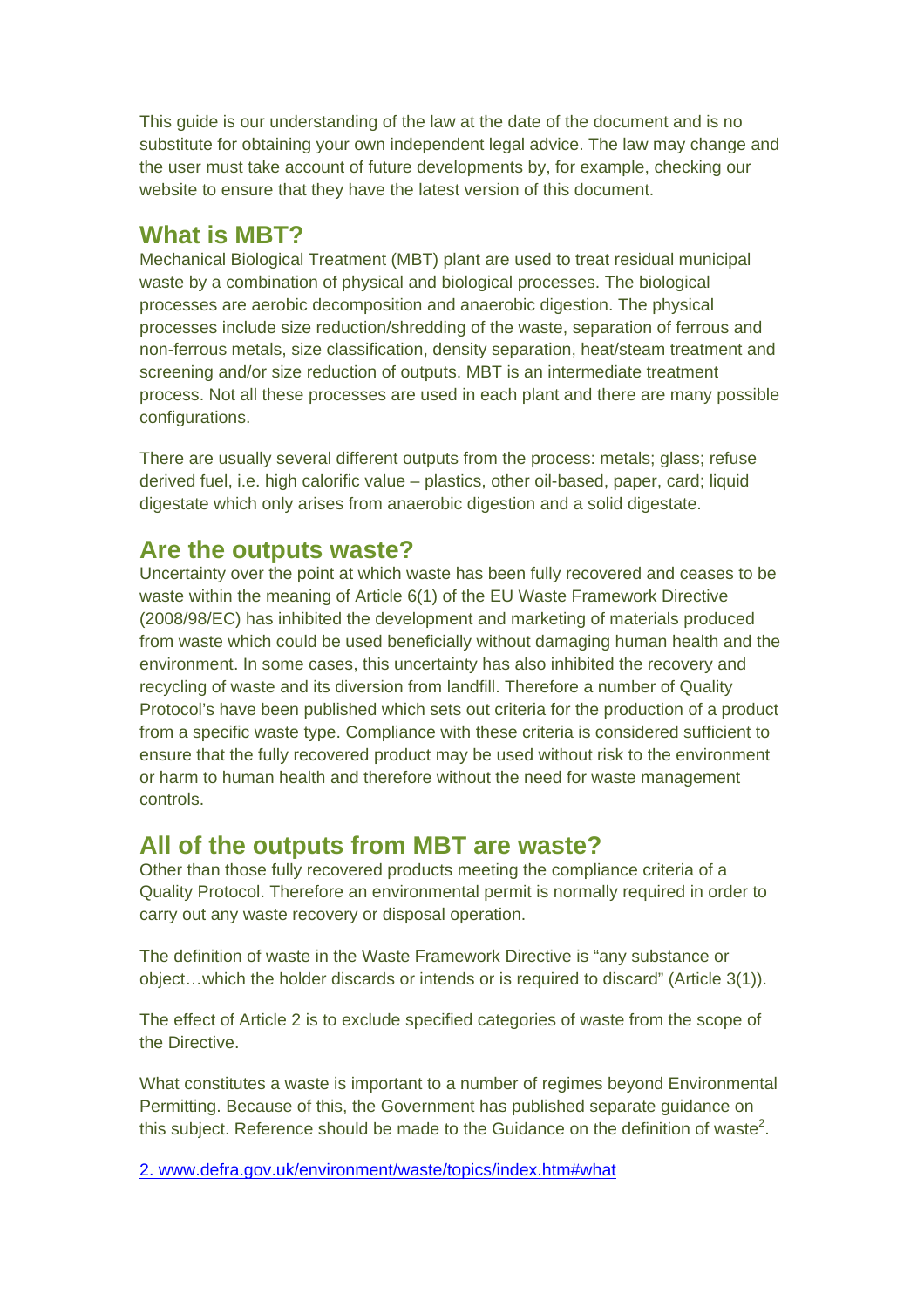This guide is our understanding of the law at the date of the document and is no substitute for obtaining your own independent legal advice. The law may change and the user must take account of future developments by, for example, checking our website to ensure that they have the latest version of this document.

### **What is MBT?**

Mechanical Biological Treatment (MBT) plant are used to treat residual municipal waste by a combination of physical and biological processes. The biological processes are aerobic decomposition and anaerobic digestion. The physical processes include size reduction/shredding of the waste, separation of ferrous and non-ferrous metals, size classification, density separation, heat/steam treatment and screening and/or size reduction of outputs. MBT is an intermediate treatment process. Not all these processes are used in each plant and there are many possible configurations.

There are usually several different outputs from the process: metals; glass; refuse derived fuel, i.e. high calorific value – plastics, other oil-based, paper, card; liquid digestate which only arises from anaerobic digestion and a solid digestate.

#### **Are the outputs waste?**

Uncertainty over the point at which waste has been fully recovered and ceases to be waste within the meaning of Article 6(1) of the EU Waste Framework Directive (2008/98/EC) has inhibited the development and marketing of materials produced from waste which could be used beneficially without damaging human health and the environment. In some cases, this uncertainty has also inhibited the recovery and recycling of waste and its diversion from landfill. Therefore a number of Quality Protocol's have been published which sets out criteria for the production of a product from a specific waste type. Compliance with these criteria is considered sufficient to ensure that the fully recovered product may be used without risk to the environment or harm to human health and therefore without the need for waste management controls.

#### **All of the outputs from MBT are waste?**

Other than those fully recovered products meeting the compliance criteria of a Quality Protocol. Therefore an environmental permit is normally required in order to carry out any waste recovery or disposal operation.

The definition of waste in the Waste Framework Directive is "any substance or object…which the holder discards or intends or is required to discard" (Article 3(1)).

The effect of Article 2 is to exclude specified categories of waste from the scope of the Directive.

What constitutes a waste is important to a number of regimes beyond Environmental Permitting. Because of this, the Government has published separate guidance on this subject. Reference should be made to the Guidance on the definition of waste<sup>2</sup>.

2. [www.defra.gov.uk/environment/waste/topics/index.htm#what](http://www.defra.gov.uk/environment/waste/topics/index.htm#what)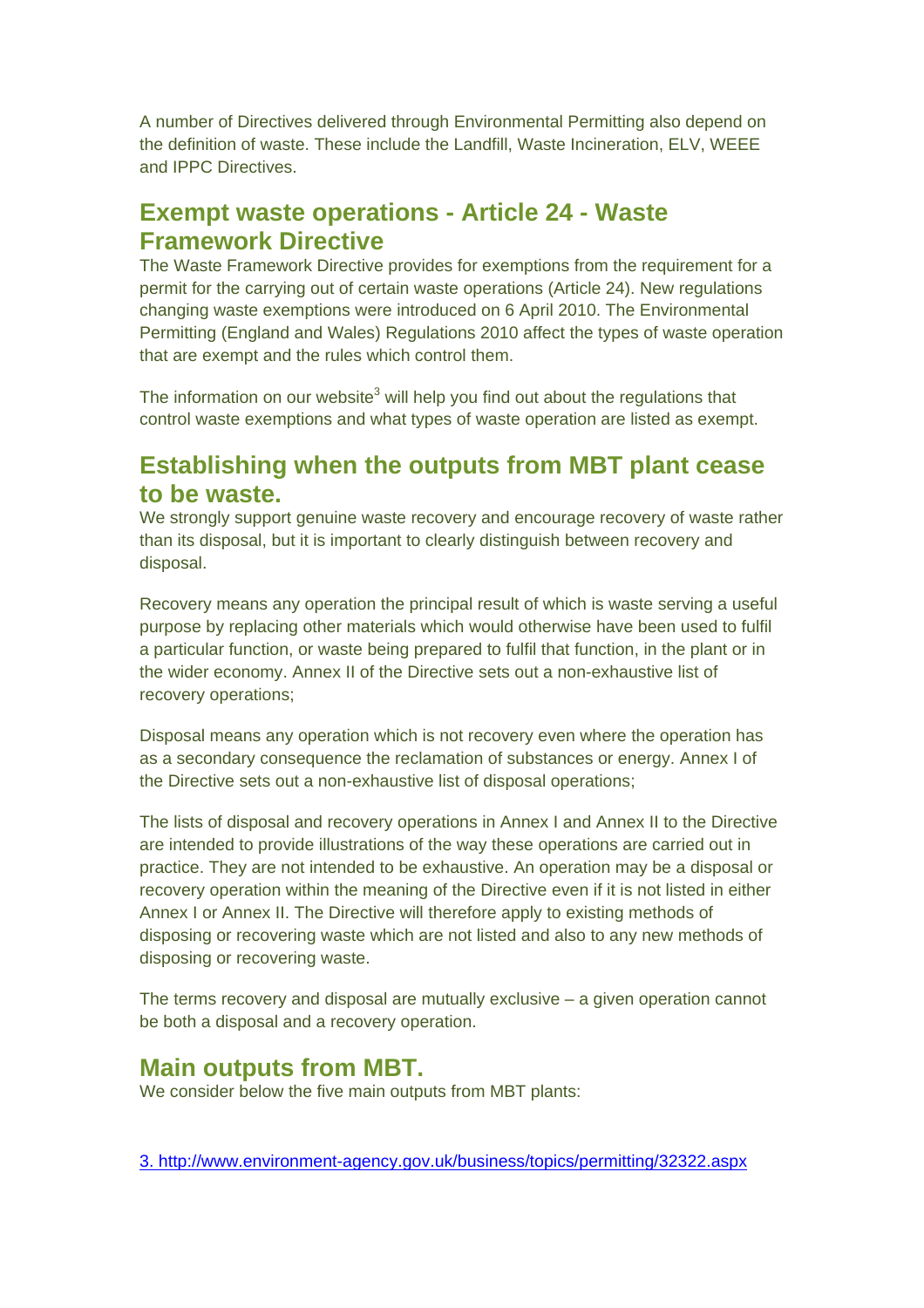A number of Directives delivered through Environmental Permitting also depend on the definition of waste. These include the Landfill, Waste Incineration, ELV, WEEE and IPPC Directives.

### **Exempt waste operations - Article 24 - Waste Framework Directive**

The Waste Framework Directive provides for exemptions from the requirement for a permit for the carrying out of certain waste operations (Article 24). New regulations changing waste exemptions were introduced on 6 April 2010. The Environmental Permitting (England and Wales) Regulations 2010 affect the types of waste operation that are exempt and the rules which control them.

The information on our website<sup>3</sup> will help you find out about the regulations that control waste exemptions and what types of waste operation are listed as exempt.

### **Establishing when the outputs from MBT plant cease to be waste.**

We strongly support genuine waste recovery and encourage recovery of waste rather than its disposal, but it is important to clearly distinguish between recovery and disposal.

Recovery means any operation the principal result of which is waste serving a useful purpose by replacing other materials which would otherwise have been used to fulfil a particular function, or waste being prepared to fulfil that function, in the plant or in the wider economy. Annex II of the Directive sets out a non-exhaustive list of recovery operations;

Disposal means any operation which is not recovery even where the operation has as a secondary consequence the reclamation of substances or energy. Annex I of the Directive sets out a non-exhaustive list of disposal operations;

The lists of disposal and recovery operations in Annex I and Annex II to the Directive are intended to provide illustrations of the way these operations are carried out in practice. They are not intended to be exhaustive. An operation may be a disposal or recovery operation within the meaning of the Directive even if it is not listed in either Annex I or Annex II. The Directive will therefore apply to existing methods of disposing or recovering waste which are not listed and also to any new methods of disposing or recovering waste.

The terms recovery and disposal are mutually exclusive – a given operation cannot be both a disposal and a recovery operation.

#### **Main outputs from MBT.**

We consider below the five main outputs from MBT plants:

3.<http://www.environment-agency.gov.uk/business/topics/permitting/32322.aspx>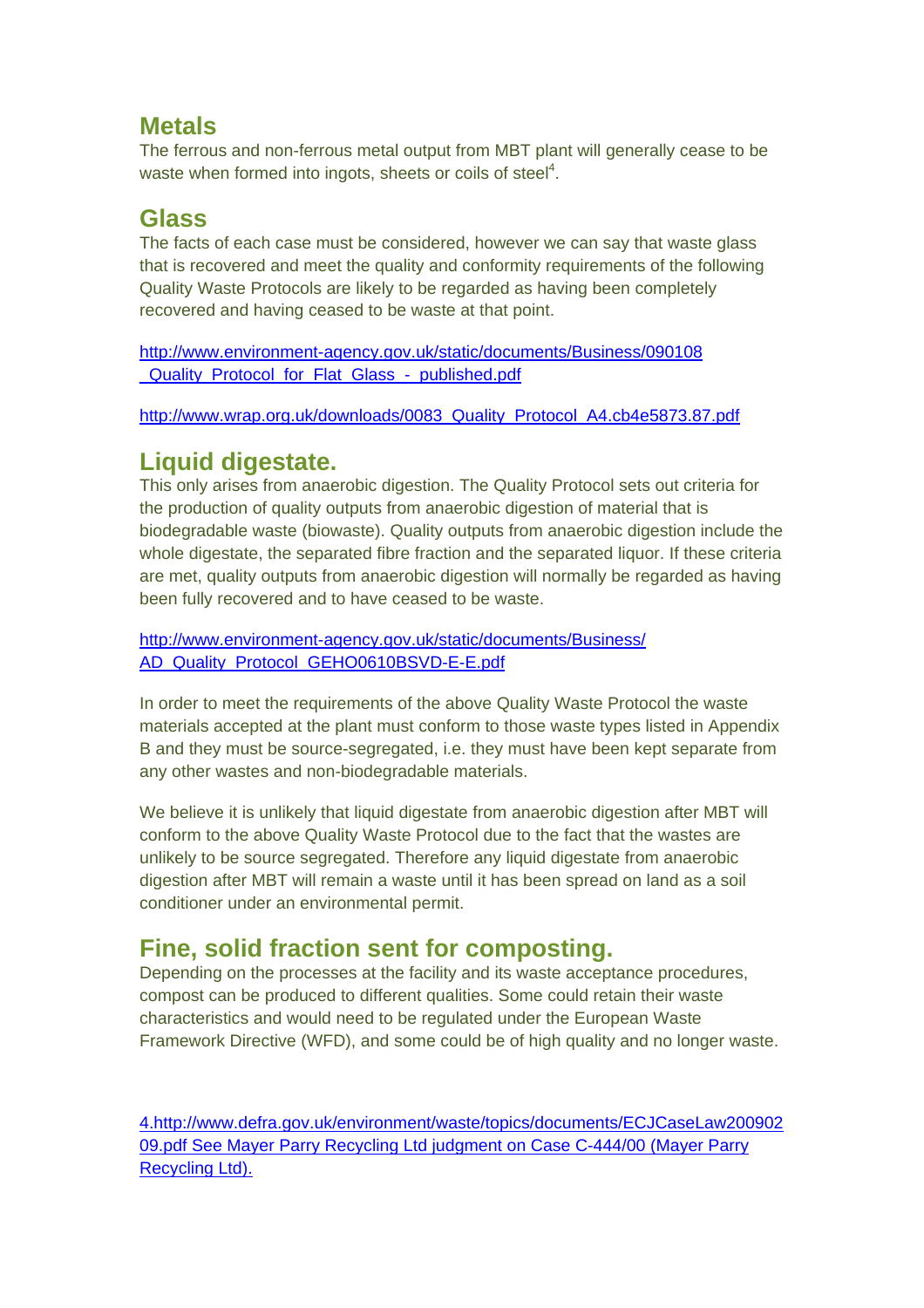### **Metals**

The ferrous and non-ferrous metal output from MBT plant will generally cease to be waste when formed into ingots, sheets or coils of steel $4$ .

### **Glass**

The facts of each case must be considered, however we can say that waste glass that is recovered and meet the quality and conformity requirements of the following Quality Waste Protocols are likely to be regarded as having been completely recovered and having ceased to be waste at that point.

[http://www.environment-agency.gov.uk/static/documents/Business/090108](http://www.environment-agency.gov.uk/static/documents/Business/090108%20_Quality_Protocol_for_Flat_Glass_-_published.pdf) Quality Protocol for Flat Glass - published.pdf

[http://www.wrap.org.uk/downloads/0083\\_Quality\\_Protocol\\_A4.cb4e5873.87.pdf](http://www.wrap.org.uk/downloads/0083_Quality_Protocol_A4.cb4e5873.87.pdf)

### **Liquid digestate.**

This only arises from anaerobic digestion. The Quality Protocol sets out criteria for the production of quality outputs from anaerobic digestion of material that is biodegradable waste (biowaste). Quality outputs from anaerobic digestion include the whole digestate, the separated fibre fraction and the separated liquor. If these criteria are met, quality outputs from anaerobic digestion will normally be regarded as having been fully recovered and to have ceased to be waste.

[http://www.environment-agency.gov.uk/static/documents/Business/](http://www.environment-agency.gov.uk/static/documents/Business/%20AD_Quality_Protocol_GEHO0610BSVD-E-E.pdf) [AD\\_Quality\\_Protocol\\_GEHO0610BSVD-E-E.pdf](http://www.environment-agency.gov.uk/static/documents/Business/%20AD_Quality_Protocol_GEHO0610BSVD-E-E.pdf)

In order to meet the requirements of the above Quality Waste Protocol the waste materials accepted at the plant must conform to those waste types listed in Appendix B and they must be source-segregated, i.e. they must have been kept separate from any other wastes and non-biodegradable materials.

We believe it is unlikely that liquid digestate from anaerobic digestion after MBT will conform to the above Quality Waste Protocol due to the fact that the wastes are unlikely to be source segregated. Therefore any liquid digestate from anaerobic digestion after MBT will remain a waste until it has been spread on land as a soil conditioner under an environmental permit.

### **Fine, solid fraction sent for composting.**

Depending on the processes at the facility and its waste acceptance procedures, compost can be produced to different qualities. Some could retain their waste characteristics and would need to be regulated under the European Waste Framework Directive (WFD), and some could be of high quality and no longer waste.

4[.http://www.defra.gov.uk/environment/waste/topics/documents/ECJCaseLaw200902](http://www.defra.gov.uk/environment/waste/topics/documents/ECJCaseLaw20090209.pdf) [09.pdf](http://www.defra.gov.uk/environment/waste/topics/documents/ECJCaseLaw20090209.pdf) See Mayer Parry Recycling Ltd judgment on Case C-444/00 (Mayer Parry Recycling Ltd).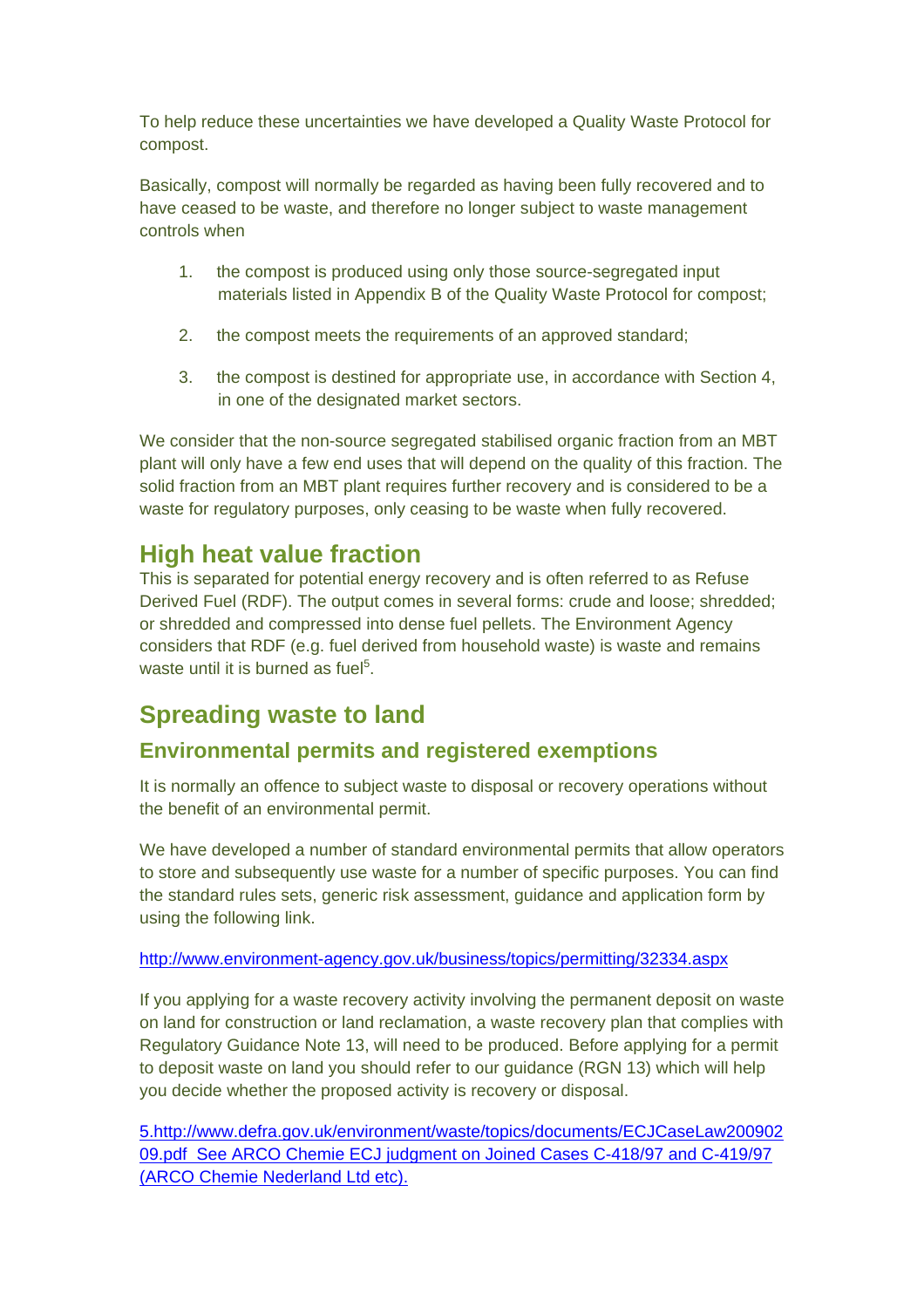To help reduce these uncertainties we have developed a Quality Waste Protocol for compost.

Basically, compost will normally be regarded as having been fully recovered and to have ceased to be waste, and therefore no longer subject to waste management controls when

- 1. the compost is produced using only those source-segregated input materials listed in Appendix B of the Quality Waste Protocol for compost;
- 2. the compost meets the requirements of an approved standard;
- 3. the compost is destined for appropriate use, in accordance with Section 4, in one of the designated market sectors.

We consider that the non-source segregated stabilised organic fraction from an MBT plant will only have a few end uses that will depend on the quality of this fraction. The solid fraction from an MBT plant requires further recovery and is considered to be a waste for regulatory purposes, only ceasing to be waste when fully recovered.

### **High heat value fraction**

This is separated for potential energy recovery and is often referred to as Refuse Derived Fuel (RDF). The output comes in several forms: crude and loose; shredded; or shredded and compressed into dense fuel pellets. The Environment Agency considers that RDF (e.g. fuel derived from household waste) is waste and remains waste until it is burned as fuel<sup>5</sup>.

## **Spreading waste to land**

#### **Environmental permits and registered exemptions**

It is normally an offence to subject waste to disposal or recovery operations without the benefit of an environmental permit.

We have developed a number of standard environmental permits that allow operators to store and subsequently use waste for a number of specific purposes. You can find the standard rules sets, generic risk assessment, guidance and application form by using the following link.

#### <http://www.environment-agency.gov.uk/business/topics/permitting/32334.aspx>

If you applying for a waste recovery activity involving the permanent deposit on waste on land for construction or land reclamation, a waste recovery plan that complies with Regulatory Guidance Note 13, will need to be produced. Before applying for a permit to deposit waste on land you should refer to our guidance (RGN 13) which will help you decide whether the proposed activity is recovery or disposal.

5[.http://www.defra.gov.uk/environment/waste/topics/documents/ECJCaseLaw200902](http://www.defra.gov.uk/environment/waste/topics/documents/ECJCaseLaw20090209.pdf) [09.pdf](http://www.defra.gov.uk/environment/waste/topics/documents/ECJCaseLaw20090209.pdf) See ARCO Chemie ECJ judgment on Joined Cases C-418/97 and C-419/97 (ARCO Chemie Nederland Ltd etc).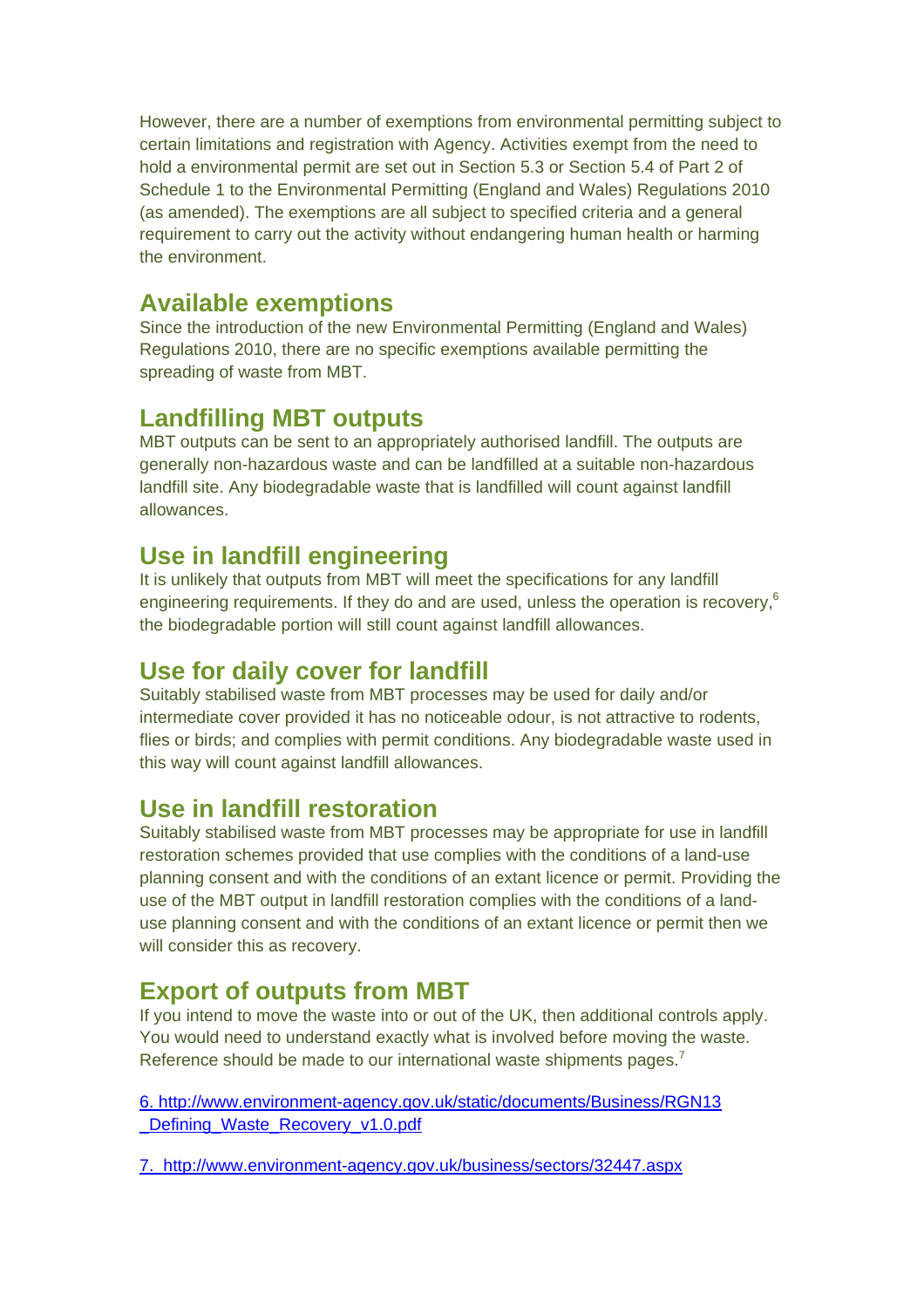However, there are a number of exemptions from environmental permitting subject to certain limitations and registration with Agency. Activities exempt from the need to hold a environmental permit are set out in Section 5.3 or Section 5.4 of Part 2 of Schedule 1 to the Environmental Permitting (England and Wales) Regulations 2010 (as amended). The exemptions are all subject to specified criteria and a general requirement to carry out the activity without endangering human health or harming the environment.

#### **Available exemptions**

Since the introduction of the new Environmental Permitting (England and Wales) Regulations 2010, there are no specific exemptions available permitting the spreading of waste from MBT.

### **Landfilling MBT outputs**

MBT outputs can be sent to an appropriately authorised landfill. The outputs are generally non-hazardous waste and can be landfilled at a suitable non-hazardous landfill site. Any biodegradable waste that is landfilled will count against landfill allowances.

### **Use in landfill engineering**

It is unlikely that outputs from MBT will meet the specifications for any landfill engineering requirements. If they do and are used, unless the operation is recovery,<sup>6</sup> the biodegradable portion will still count against landfill allowances.

### **Use for daily cover for landfill**

Suitably stabilised waste from MBT processes may be used for daily and/or intermediate cover provided it has no noticeable odour, is not attractive to rodents, flies or birds; and complies with permit conditions. Any biodegradable waste used in this way will count against landfill allowances.

### **Use in landfill restoration**

Suitably stabilised waste from MBT processes may be appropriate for use in landfill restoration schemes provided that use complies with the conditions of a land-use planning consent and with the conditions of an extant licence or permit. Providing the use of the MBT output in landfill restoration complies with the conditions of a landuse planning consent and with the conditions of an extant licence or permit then we will consider this as recovery.

### **Export of outputs from MBT**

If you intend to move the waste into or out of the UK, then additional controls apply. You would need to understand exactly what is involved before moving the waste. Reference should be made to our international waste shipments pages. $<sup>7</sup>$ </sup>

6. [http://www.environment-agency.gov.uk/static/documents/Business/RGN13](http://www.environment-agency.gov.uk/static/documents/Business/RGN13%20_Defining_Waste_Recovery_v1.0.pdf) Defining Waste Recovery v1.0.pdf

7. <http://www.environment-agency.gov.uk/business/sectors/32447.aspx>